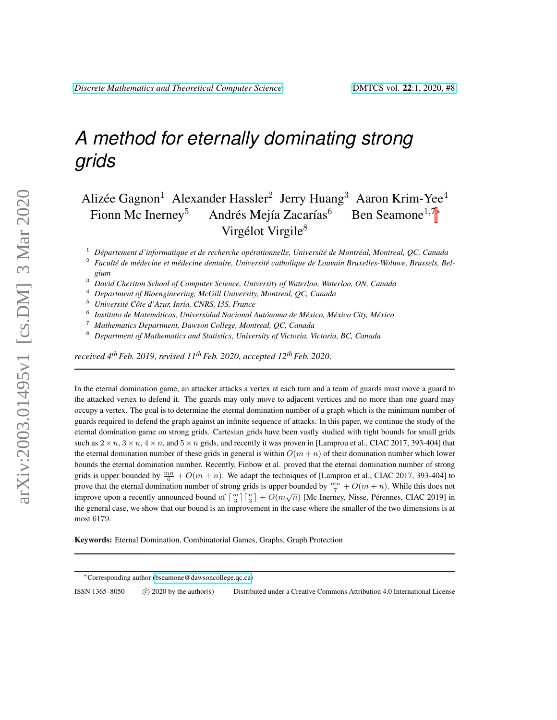# *A method for eternally dominating strong grids*

## Alizée Gagnon<sup>1</sup> Alexander Hassler<sup>2</sup> Jerry Huang<sup>3</sup> Aaron Krim-Yee<sup>4</sup> Fionn Mc Inerney<sup>5</sup> Andrés Mejía Zacarías<sup>6</sup> Ben Seamone<sup>1,7</sup>\* Virgélot Virgile<sup>8</sup>

<sup>1</sup> Département d'informatique et de recherche opérationnelle, Université de Montréal, Montreal, QC, Canada

- <sup>2</sup> Faculté de médecine et médecine dentaire, Université catholique de Louvain Bruxelles-Woluwe, Brussels, Bel*gium*
- <sup>3</sup> *David Cheriton School of Computer Science, University of Waterloo, Waterloo, ON, Canada*
- <sup>4</sup> *Department of Bioengineering, McGill University, Montreal, QC, Canada*
- <sup>5</sup> *Université Côte d'Azur, Inria, CNRS, I3S, France*
- 6 *Instituto de Matematicas, Universidad Nacional Aut ´ onoma de M ´ exico, M ´ exico City, M ´ exico ´*
- <sup>7</sup> *Mathematics Department, Dawson College, Montreal, QC, Canada*
- <sup>8</sup> *Department of Mathematics and Statistics, University of Victoria, Victoria, BC, Canada*

*received 4thFeb. 2019*, *revised 11thFeb. 2020*, *accepted 12thFeb. 2020*.

In the eternal domination game, an attacker attacks a vertex at each turn and a team of guards must move a guard to the attacked vertex to defend it. The guards may only move to adjacent vertices and no more than one guard may occupy a vertex. The goal is to determine the eternal domination number of a graph which is the minimum number of guards required to defend the graph against an infinite sequence of attacks. In this paper, we continue the study of the eternal domination game on strong grids. Cartesian grids have been vastly studied with tight bounds for small grids such as  $2 \times n$ ,  $3 \times n$ ,  $4 \times n$ , and  $5 \times n$  grids, and recently it was proven in [Lamprou et al., CIAC 2017, 393-404] that the eternal domination number of these grids in general is within  $O(m + n)$  of their domination number which lower bounds the eternal domination number. Recently, Finbow et al. proved that the eternal domination number of strong grids is upper bounded by  $\frac{mn}{6} + O(m + n)$ . We adapt the techniques of [Lamprou et al., CIAC 2017, 393-404] to prove that the eternal domination number of strong grids is upper bounded by  $\frac{mn}{7} + O(m + n)$ . While this does not improve upon a recently announced bound of  $\lceil \frac{m}{3} \rceil \lceil \frac{n}{3} \rceil + O(m\sqrt{n})$  [Mc Inerney, Nisse, Pérennes, CIAC 2019] in the general case, we show that our bound is an improvement in the case where the smaller of the two dimensions is at most 6179.

Keywords: Eternal Domination, Combinatorial Games, Graphs, Graph Protection

ISSN 1365-8050 C 2020 by the author(s) Distributed under a Creative Commons Attribution 4.0 International License

<sup>∗</sup>Corresponding author [\(bseamone@dawsoncollege.qc.ca\)](mailto:bseamone@dawsoncollege.qc.ca)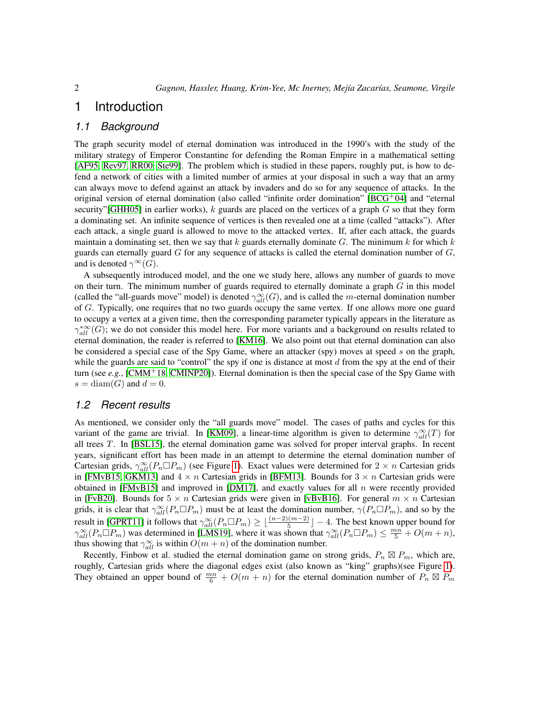### 1 Introduction

### *1.1 Background*

The graph security model of eternal domination was introduced in the 1990's with the study of the military strategy of Emperor Constantine for defending the Roman Empire in a mathematical setting [\[AF95,](#page-9-0) [Rev97,](#page-10-0) [RR00,](#page-10-1) [Ste99\]](#page-10-2). The problem which is studied in these papers, roughly put, is how to defend a network of cities with a limited number of armies at your disposal in such a way that an army can always move to defend against an attack by invaders and do so for any sequence of attacks. In the original version of eternal domination (also called "infinite order domination"  $[BCG^+04]$  $[BCG^+04]$  and "eternal security"[\[GHH05\]](#page-9-2) in earlier works),  $k$  guards are placed on the vertices of a graph  $G$  so that they form a dominating set. An infinite sequence of vertices is then revealed one at a time (called "attacks"). After each attack, a single guard is allowed to move to the attacked vertex. If, after each attack, the guards maintain a dominating set, then we say that k guards eternally dominate G. The minimum k for which k guards can eternally guard  $G$  for any sequence of attacks is called the eternal domination number of  $G$ , and is denoted  $\gamma^{\infty}(G)$ .

A subsequently introduced model, and the one we study here, allows any number of guards to move on their turn. The minimum number of guards required to eternally dominate a graph  $G$  in this model (called the "all-guards move" model) is denoted  $\gamma_{all}^{\infty}(G)$ , and is called the m-eternal domination number of G. Typically, one requires that no two guards occupy the same vertex. If one allows more one guard to occupy a vertex at a given time, then the corresponding parameter typically appears in the literature as  $\gamma_{all}^{*\infty}(G)$ ; we do not consider this model here. For more variants and a background on results related to eternal domination, the reader is referred to [\[KM16\]](#page-10-3). We also point out that eternal domination can also be considered a special case of the Spy Game, where an attacker (spy) moves at speed s on the graph, while the guards are said to "control" the spy if one is distance at most  $d$  from the spy at the end of their turn (see *e.g.*, [\[CMM](#page-9-3)<sup>+</sup>18, [CMINP20\]](#page-9-4)). Eternal domination is then the special case of the Spy Game with  $s = \text{diam}(G)$  and  $d = 0$ .

#### *1.2 Recent results*

As mentioned, we consider only the "all guards move" model. The cases of paths and cycles for this variant of the game are trivial. In [\[KM09\]](#page-10-4), a linear-time algorithm is given to determine  $\gamma_{all}^{\infty}(T)$  for all trees T. In [\[BSL15\]](#page-9-5), the eternal domination game was solved for proper interval graphs. In recent years, significant effort has been made in an attempt to determine the eternal domination number of Cartesian grids,  $\gamma_{all}^{\infty}(P_n \Box P_m)$  (see Figure [1\)](#page-2-0). Exact values were determined for  $2 \times n$  Cartesian grids in [\[FMvB15,](#page-9-6) [GKM13\]](#page-9-7) and  $4 \times n$  Cartesian grids in [\[BFM13\]](#page-9-8). Bounds for  $3 \times n$  Cartesian grids were obtained in [\[FMvB15\]](#page-9-6) and improved in [\[DM17\]](#page-9-9), and exactly values for all  $n$  were recently provided in [\[FvB20\]](#page-9-10). Bounds for  $5 \times n$  Cartesian grids were given in [\[vBvB16\]](#page-10-5). For general  $m \times n$  Cartesian grids, it is clear that  $\gamma_{all}^{\infty}(P_n \Box P_m)$  must be at least the domination number,  $\gamma(P_n \Box P_m)$ , and so by the result in [\[GPRT11\]](#page-9-11) it follows that  $\gamma_{all}^{\infty}(P_n \Box P_m) \geq \lfloor \frac{(n-2)(m-2)}{5} \rfloor - 4$ . The best known upper bound for  $\gamma_{all}^{\infty}(P_n \Box P_m)$  was determined in [\[LMS19\]](#page-10-6), where it was shown that  $\gamma_{all}^{\infty}(P_n \Box P_m) \le \frac{mn}{5} + O(m+n)$ , thus showing that  $\gamma_{all}^{\infty}$  is within  $O(m + n)$  of the domination number.

Recently, Finbow et al. studied the eternal domination game on strong grids,  $P_n \boxtimes P_m$ , which are, roughly, Cartesian grids where the diagonal edges exist (also known as "king" graphs)(see Figure [1\)](#page-2-0). They obtained an upper bound of  $\frac{mn}{6} + O(m+n)$  for the eternal domination number of  $P_n \boxtimes P_m$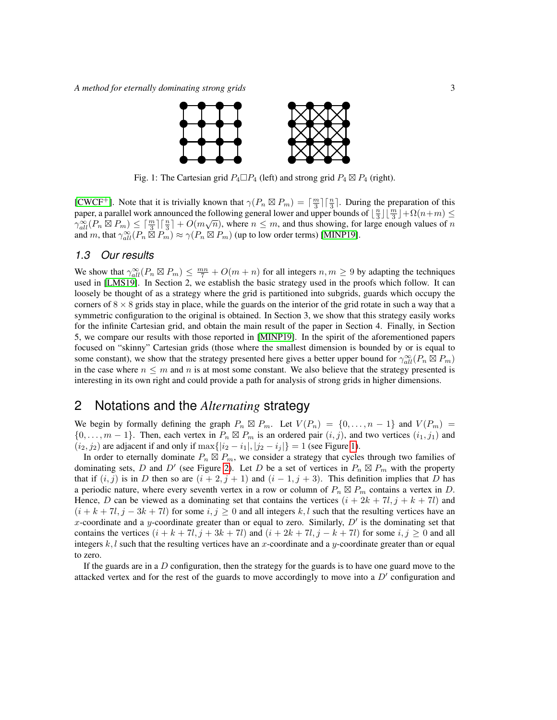<span id="page-2-0"></span>

Fig. 1: The Cartesian grid  $P_4 \square P_4$  (left) and strong grid  $P_4 \boxtimes P_4$  (right).

[\[CWCF](#page-9-12)<sup>+</sup>]. Note that it is trivially known that  $\gamma(P_n \boxtimes P_m) = \lceil \frac{m}{3} \rceil \lceil \frac{n}{3} \rceil$ . During the preparation of this paper, a parallel work announced the following general lower and upper bounds of  $\lfloor \frac{n}{3} \rfloor \lfloor \frac{m}{3} \rfloor + \Omega(n+m) \le$  $\gamma_{all}^{\infty}(P_n \boxtimes P_m) \leq \lceil \frac{m}{3} \rceil \lceil \frac{n}{3} \rceil + O(m\sqrt{n})$ , where  $n \leq m$ , and thus showing, for large enough values of n and m, that  $\gamma_{all}^{\infty}(P_n \boxtimes P_m) \approx \gamma(P_n \boxtimes P_m)$  (up to low order terms) [\[MINP19\]](#page-10-7).

### *1.3 Our results*

We show that  $\gamma_{all}^{\infty}(P_n \boxtimes P_m) \leq \frac{mn}{7} + O(m+n)$  for all integers  $n, m \geq 9$  by adapting the techniques used in [\[LMS19\]](#page-10-6). In Section 2, we establish the basic strategy used in the proofs which follow. It can loosely be thought of as a strategy where the grid is partitioned into subgrids, guards which occupy the corners of  $8 \times 8$  grids stay in place, while the guards on the interior of the grid rotate in such a way that a symmetric configuration to the original is obtained. In Section 3, we show that this strategy easily works for the infinite Cartesian grid, and obtain the main result of the paper in Section 4. Finally, in Section 5, we compare our results with those reported in [\[MINP19\]](#page-10-7). In the spirit of the aforementioned papers focused on "skinny" Cartesian grids (those where the smallest dimension is bounded by or is equal to some constant), we show that the strategy presented here gives a better upper bound for  $\gamma_{all}^{\infty}(P_n \boxtimes P_m)$ in the case where  $n \leq m$  and n is at most some constant. We also believe that the strategy presented is interesting in its own right and could provide a path for analysis of strong grids in higher dimensions.

### 2 Notations and the *Alternating* strategy

We begin by formally defining the graph  $P_n \boxtimes P_m$ . Let  $V(P_n) = \{0, ..., n-1\}$  and  $V(P_m) =$  $\{0,\ldots,m-1\}$ . Then, each vertex in  $P_n \boxtimes P_m$  is an ordered pair  $(i, j)$ , and two vertices  $(i_1, j_1)$  and  $(i_2, j_2)$  are adjacent if and only if  $\max\{|i_2 - i_1|, |j_2 - i_j|\} = 1$  (see Figure [1\)](#page-2-0).

In order to eternally dominate  $P_n \boxtimes P_m$ , we consider a strategy that cycles through two families of dominating sets, D and D' (see Figure [2\)](#page-3-0). Let D be a set of vertices in  $P_n \boxtimes P_m$  with the property that if  $(i, j)$  is in D then so are  $(i + 2, j + 1)$  and  $(i - 1, j + 3)$ . This definition implies that D has a periodic nature, where every seventh vertex in a row or column of  $P_n \boxtimes P_m$  contains a vertex in D. Hence, D can be viewed as a dominating set that contains the vertices  $(i + 2k + 7l, j + k + 7l)$  and  $(i + k + 7l, j - 3k + 7l)$  for some  $i, j \ge 0$  and all integers k, l such that the resulting vertices have an x-coordinate and a y-coordinate greater than or equal to zero. Similarly,  $D'$  is the dominating set that contains the vertices  $(i + k + 7l, j + 3k + 7l)$  and  $(i + 2k + 7l, j - k + 7l)$  for some  $i, j \ge 0$  and all integers  $k, l$  such that the resulting vertices have an x-coordinate and a y-coordinate greater than or equal to zero.

If the guards are in a  $D$  configuration, then the strategy for the guards is to have one guard move to the attacked vertex and for the rest of the guards to move accordingly to move into a  $D'$  configuration and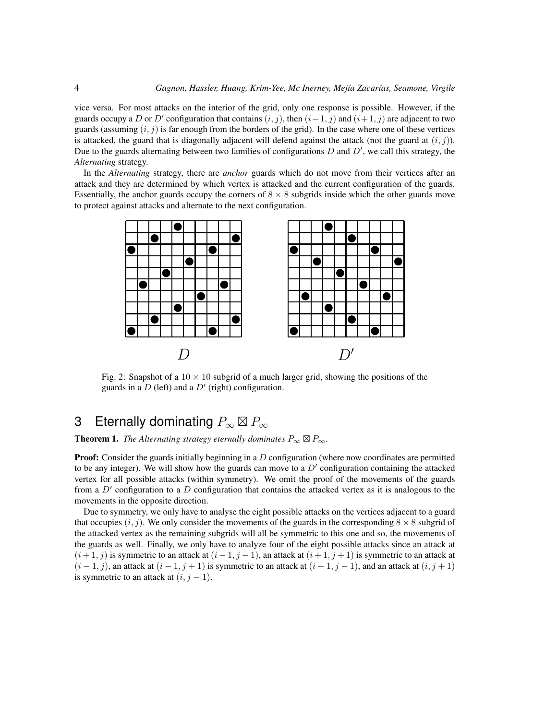vice versa. For most attacks on the interior of the grid, only one response is possible. However, if the guards occupy a D or D' configuration that contains  $(i, j)$ , then  $(i-1, j)$  and  $(i+1, j)$  are adjacent to two guards (assuming  $(i, j)$  is far enough from the borders of the grid). In the case where one of these vertices is attacked, the guard that is diagonally adjacent will defend against the attack (not the guard at  $(i, j)$ ). Due to the guards alternating between two families of configurations  $D$  and  $D'$ , we call this strategy, the *Alternating* strategy.

In the *Alternating* strategy, there are *anchor* guards which do not move from their vertices after an attack and they are determined by which vertex is attacked and the current configuration of the guards. Essentially, the anchor guards occupy the corners of  $8 \times 8$  subgrids inside which the other guards move to protect against attacks and alternate to the next configuration.

<span id="page-3-0"></span>

Fig. 2: Snapshot of a  $10 \times 10$  subgrid of a much larger grid, showing the positions of the guards in a  $D$  (left) and a  $D'$  (right) configuration.

## 3 Eternally dominating  $P_\infty \boxtimes P_\infty$

**Theorem 1.** The Alternating strategy eternally dominates  $P_{\infty} \boxtimes P_{\infty}$ .

**Proof:** Consider the guards initially beginning in a  $D$  configuration (where now coordinates are permitted to be any integer). We will show how the guards can move to a  $D'$  configuration containing the attacked vertex for all possible attacks (within symmetry). We omit the proof of the movements of the guards from a  $D'$  configuration to a  $D$  configuration that contains the attacked vertex as it is analogous to the movements in the opposite direction.

Due to symmetry, we only have to analyse the eight possible attacks on the vertices adjacent to a guard that occupies  $(i, j)$ . We only consider the movements of the guards in the corresponding  $8 \times 8$  subgrid of the attacked vertex as the remaining subgrids will all be symmetric to this one and so, the movements of the guards as well. Finally, we only have to analyze four of the eight possible attacks since an attack at  $(i + 1, j)$  is symmetric to an attack at  $(i - 1, j - 1)$ , an attack at  $(i + 1, j + 1)$  is symmetric to an attack at  $(i-1, j)$ , an attack at  $(i-1, j+1)$  is symmetric to an attack at  $(i+1, j-1)$ , and an attack at  $(i, j+1)$ is symmetric to an attack at  $(i, j - 1)$ .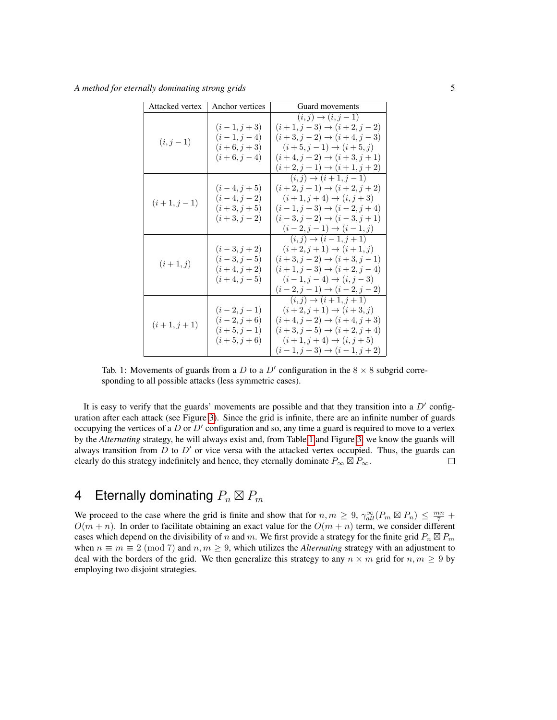<span id="page-4-0"></span>*A method for eternally dominating strong grids* 5

| Attacked vertex | Anchor vertices                                              | Guard movements                                                                                                                                                                                                                    |  |  |  |
|-----------------|--------------------------------------------------------------|------------------------------------------------------------------------------------------------------------------------------------------------------------------------------------------------------------------------------------|--|--|--|
| $(i, j - 1)$    | $(i-1, j+3)$<br>$(i-1,j-4)$<br>$(i+6, j+3)$<br>$(i+6,j-4)$   | $(i, j) \rightarrow (i, j-1)$<br>$(i+1, j-3) \rightarrow (i+2, j-2)$<br>$(i+3, j-2) \rightarrow (i+4, j-3)$<br>$(i+5, j-1) \rightarrow (i+5, j)$<br>$(i+4, j+2) \rightarrow (i+3, j+1)$<br>$(i+2,j+1) \rightarrow (i+1,j+2)$       |  |  |  |
| $(i+1,j-1)$     | $(i-4,j+5)$<br>$(i-4,j-2)$<br>$(i+3, j+5)$<br>$(i+3,j-2)$    | $(i, j) \rightarrow (i + 1, j - 1)$<br>$(i+2, j+1) \rightarrow (i+2, j+2)$<br>$(i+1, j+4) \rightarrow (i, j+3)$<br>$(i-1, j+3) \rightarrow (i-2, j+4)$<br>$(i-3, j+2) \rightarrow (i-3, j+1)$<br>$(i-2, j-1) \rightarrow (i-1, j)$ |  |  |  |
| $(i+1, j)$      | $(i-3, j+2)$<br>$(i-3, j-5)$<br>$(i+4,j+2)$<br>$(i+4, j-5)$  | $(i, j) \rightarrow (i - 1, j + 1)$<br>$(i+2, j+1) \rightarrow (i+1, j)$<br>$(i+3, j-2) \rightarrow (i+3, j-1)$<br>$(i+1, j-3) \rightarrow (i+2, j-4)$<br>$(i-1, j-4) \rightarrow (i, j-3)$<br>$(i-2, j-1) \rightarrow (i-2, j-2)$ |  |  |  |
| $(i+1,j+1)$     | $(i-2, j-1)$<br>$(i-2, j+6)$<br>$(i+5, j-1)$<br>$(i+5, j+6)$ | $(i, j) \to (i + 1, j + 1)$<br>$(i+2, j+1) \rightarrow (i+3, j)$<br>$(i+4, j+2) \rightarrow (i+4, j+3)$<br>$(i+3, j+5) \rightarrow (i+2, j+4)$<br>$(i+1, j+4) \rightarrow (i, j+5)$<br>$(i-1, j+3) \rightarrow (i-1, j+2)$         |  |  |  |

Tab. 1: Movements of guards from a D to a D' configuration in the  $8 \times 8$  subgrid corresponding to all possible attacks (less symmetric cases).

It is easy to verify that the guards' movements are possible and that they transition into a  $D'$  configuration after each attack (see Figure [3\)](#page-5-0). Since the grid is infinite, there are an infinite number of guards occupying the vertices of a  $D$  or  $D'$  configuration and so, any time a guard is required to move to a vertex by the *Alternating* strategy, he will always exist and, from Table [1](#page-4-0) and Figure [3,](#page-5-0) we know the guards will always transition from  $D$  to  $D'$  or vice versa with the attacked vertex occupied. Thus, the guards can clearly do this strategy indefinitely and hence, they eternally dominate  $P_{\infty} \boxtimes P_{\infty}$ .  $\Box$ 

## 4 Eternally dominating  $P_n \boxtimes P_m$

We proceed to the case where the grid is finite and show that for  $n, m \geq 9$ ,  $\gamma_{all}^{\infty}(P_m \boxtimes P_n) \leq \frac{mn}{7}$  +  $O(m + n)$ . In order to facilitate obtaining an exact value for the  $O(m + n)$  term, we consider different cases which depend on the divisibility of n and m. We first provide a strategy for the finite grid  $P_n \boxtimes P_m$ when  $n \equiv m \equiv 2 \pmod{7}$  and  $n, m \geq 9$ , which utilizes the *Alternating* strategy with an adjustment to deal with the borders of the grid. We then generalize this strategy to any  $n \times m$  grid for  $n, m \geq 9$  by employing two disjoint strategies.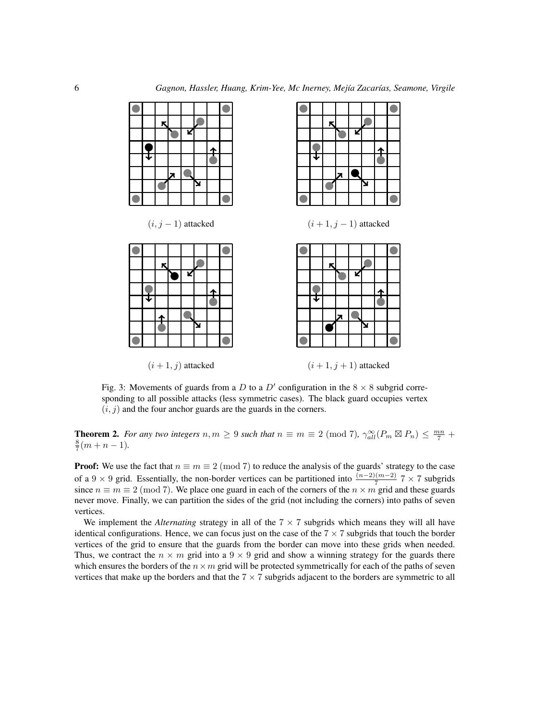<span id="page-5-0"></span>

Fig. 3: Movements of guards from a D to a D' configuration in the  $8 \times 8$  subgrid corresponding to all possible attacks (less symmetric cases). The black guard occupies vertex  $(i, j)$  and the four anchor guards are the guards in the corners.

<span id="page-5-1"></span>**Theorem 2.** For any two integers  $n, m \ge 9$  such that  $n \equiv m \equiv 2 \pmod{7}$ ,  $\gamma_{all}^{\infty}(P_m \boxtimes P_n) \le \frac{mn}{7} + \gamma_{all}^{\infty}(P_m \boxtimes P_n)$  $\frac{8}{7}(m+n-1)$ .

**Proof:** We use the fact that  $n \equiv m \equiv 2 \pmod{7}$  to reduce the analysis of the guards' strategy to the case of a 9 × 9 grid. Essentially, the non-border vertices can be partitioned into  $\frac{(n-2)(m-2)}{7}$  7 × 7 subgrids since  $n \equiv m \equiv 2 \pmod{7}$ . We place one guard in each of the corners of the  $n \times m$  grid and these guards never move. Finally, we can partition the sides of the grid (not including the corners) into paths of seven vertices.

We implement the *Alternating* strategy in all of the  $7 \times 7$  subgrids which means they will all have identical configurations. Hence, we can focus just on the case of the  $7 \times 7$  subgrids that touch the border vertices of the grid to ensure that the guards from the border can move into these grids when needed. Thus, we contract the  $n \times m$  grid into a  $9 \times 9$  grid and show a winning strategy for the guards there which ensures the borders of the  $n \times m$  grid will be protected symmetrically for each of the paths of seven vertices that make up the borders and that the  $7 \times 7$  subgrids adjacent to the borders are symmetric to all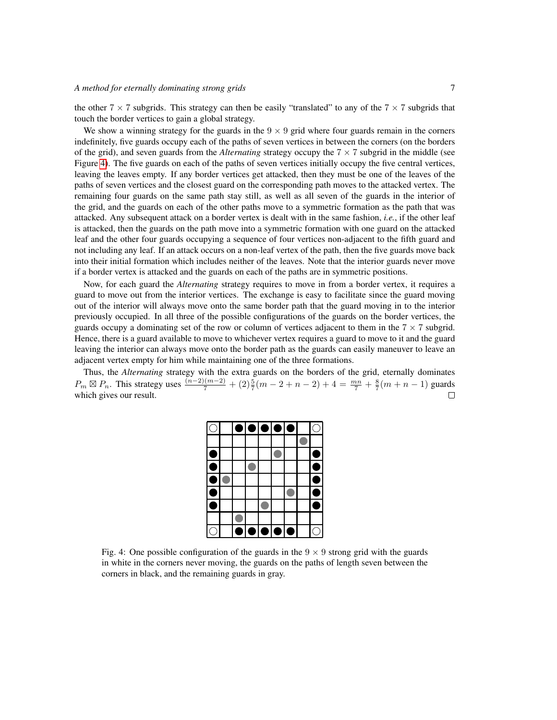#### *A method for eternally dominating strong grids* 7

the other  $7 \times 7$  subgrids. This strategy can then be easily "translated" to any of the  $7 \times 7$  subgrids that touch the border vertices to gain a global strategy.

We show a winning strategy for the guards in the  $9 \times 9$  grid where four guards remain in the corners indefinitely, five guards occupy each of the paths of seven vertices in between the corners (on the borders of the grid), and seven guards from the *Alternating* strategy occupy the 7 × 7 subgrid in the middle (see Figure [4\)](#page-6-0). The five guards on each of the paths of seven vertices initially occupy the five central vertices, leaving the leaves empty. If any border vertices get attacked, then they must be one of the leaves of the paths of seven vertices and the closest guard on the corresponding path moves to the attacked vertex. The remaining four guards on the same path stay still, as well as all seven of the guards in the interior of the grid, and the guards on each of the other paths move to a symmetric formation as the path that was attacked. Any subsequent attack on a border vertex is dealt with in the same fashion, *i.e.*, if the other leaf is attacked, then the guards on the path move into a symmetric formation with one guard on the attacked leaf and the other four guards occupying a sequence of four vertices non-adjacent to the fifth guard and not including any leaf. If an attack occurs on a non-leaf vertex of the path, then the five guards move back into their initial formation which includes neither of the leaves. Note that the interior guards never move if a border vertex is attacked and the guards on each of the paths are in symmetric positions.

Now, for each guard the *Alternating* strategy requires to move in from a border vertex, it requires a guard to move out from the interior vertices. The exchange is easy to facilitate since the guard moving out of the interior will always move onto the same border path that the guard moving in to the interior previously occupied. In all three of the possible configurations of the guards on the border vertices, the guards occupy a dominating set of the row or column of vertices adjacent to them in the  $7 \times 7$  subgrid. Hence, there is a guard available to move to whichever vertex requires a guard to move to it and the guard leaving the interior can always move onto the border path as the guards can easily maneuver to leave an adjacent vertex empty for him while maintaining one of the three formations.

<span id="page-6-0"></span>Thus, the *Alternating* strategy with the extra guards on the borders of the grid, eternally dominates  $P_m \boxtimes P_n$ . This strategy uses  $\frac{(n-2)(m-2)}{7} + (2)\frac{5}{7}(m-2+n-2) + 4 = \frac{mn}{7} + \frac{8}{7}(m+n-1)$  guards which gives our result.  $\Box$ 

|  |   | $\bullet\bullet\bullet\bullet\bullet$ |                                               |  |  |
|--|---|---------------------------------------|-----------------------------------------------|--|--|
|  |   |                                       |                                               |  |  |
|  |   |                                       |                                               |  |  |
|  |   |                                       |                                               |  |  |
|  |   |                                       |                                               |  |  |
|  |   |                                       |                                               |  |  |
|  |   |                                       |                                               |  |  |
|  |   |                                       |                                               |  |  |
|  | Ò |                                       | $\overline{\bullet \bullet \bullet \bullet }$ |  |  |

Fig. 4: One possible configuration of the guards in the  $9 \times 9$  strong grid with the guards in white in the corners never moving, the guards on the paths of length seven between the corners in black, and the remaining guards in gray.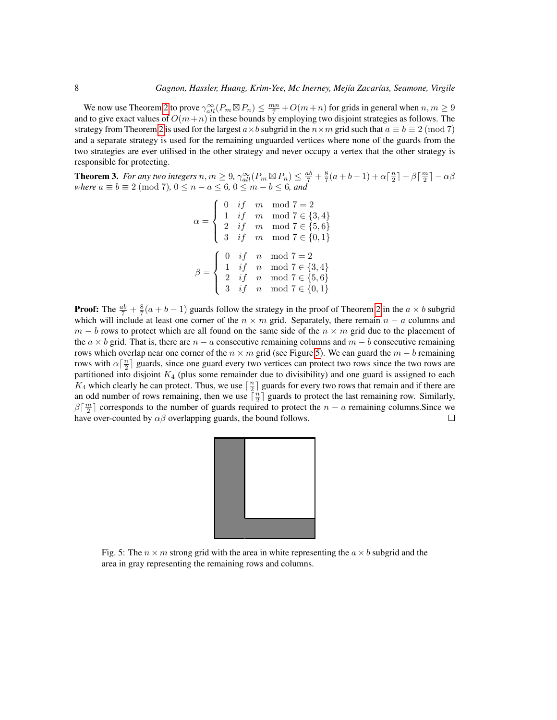We now use Theorem [2](#page-5-1) to prove  $\gamma_{all}^{\infty}(P_m \boxtimes P_n) \leq \frac{mn}{7} + O(m+n)$  for grids in general when  $n, m \geq 9$ and to give exact values of  $O(m+n)$  in these bounds by employing two disjoint strategies as follows. The strategy from Theorem [2](#page-5-1) is used for the largest  $a \times b$  subgrid in the  $n \times m$  grid such that  $a \equiv b \equiv 2 \pmod{7}$ and a separate strategy is used for the remaining unguarded vertices where none of the guards from the two strategies are ever utilised in the other strategy and never occupy a vertex that the other strategy is responsible for protecting.

<span id="page-7-1"></span>**Theorem 3.** For any two integers  $n, m \geq 9$ ,  $\gamma_{all}^{\infty}(P_m \boxtimes P_n) \leq \frac{ab}{7} + \frac{8}{7}(a+b-1) + \alpha \left\lceil \frac{n}{2} \right\rceil + \beta \left\lceil \frac{m}{2} \right\rceil - \alpha \beta$ *where*  $a \equiv b \equiv 2 \pmod{7}$ ,  $0 \leq n - a \leq 6$ ,  $0 \leq m - b \leq 6$ , and

$$
\alpha = \begin{cases}\n0 & if \quad m \mod 7 = 2 \\
1 & if \quad m \mod 7 \in \{3, 4\} \\
2 & if \quad m \mod 7 \in \{5, 6\} \\
3 & if \quad m \mod 7 \in \{0, 1\} \\
\beta = \begin{cases}\n0 & if \quad n \mod 7 = 2 \\
1 & if \quad n \mod 7 \in \{3, 4\} \\
2 & if \quad n \mod 7 \in \{5, 6\} \\
3 & if \quad n \mod 7 \in \{0, 1\}\n\end{cases}\n\end{cases}
$$

**Proof:** The  $\frac{ab}{7} + \frac{8}{7}(a+b-1)$  guards follow the strategy in the proof of Theorem [2](#page-5-1) in the  $a \times b$  subgrid which will include at least one corner of the  $n \times m$  grid. Separately, there remain  $n - a$  columns and  $m - b$  rows to protect which are all found on the same side of the  $n \times m$  grid due to the placement of the  $a \times b$  grid. That is, there are  $n - a$  consecutive remaining columns and  $m - b$  consecutive remaining rows which overlap near one corner of the  $n \times m$  grid (see Figure [5\)](#page-7-0). We can guard the  $m - b$  remaining rows with  $\alpha\left[\frac{n}{2}\right]$  guards, since one guard every two vertices can protect two rows since the two rows are partitioned into disjoint  $K_4$  (plus some remainder due to divisibility) and one guard is assigned to each  $K_4$  which clearly he can protect. Thus, we use  $\lceil \frac{n}{2} \rceil$  guards for every two rows that remain and if there are an odd number of rows remaining, then we use  $\lceil \frac{n}{2} \rceil$  guards to protect the last remaining row. Similarly,  $\beta\lceil \frac{m}{2} \rceil$  corresponds to the number of guards required to protect the  $n - a$  remaining columns. Since we have over-counted by  $\alpha\beta$  overlapping guards, the bound follows.  $\Box$ 

<span id="page-7-0"></span>

Fig. 5: The  $n \times m$  strong grid with the area in white representing the  $a \times b$  subgrid and the area in gray representing the remaining rows and columns.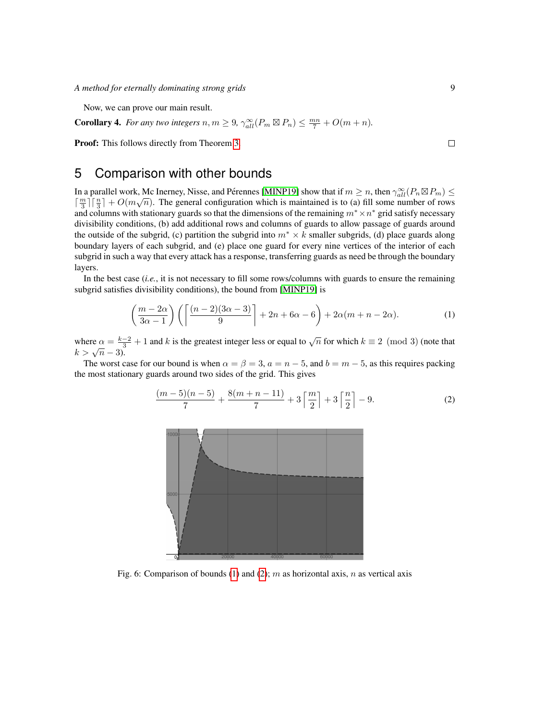*A method for eternally dominating strong grids* 9

Now, we can prove our main result.

**Corollary 4.** *For any two integers*  $n, m \geq 9$ ,  $\gamma_{all}^{\infty}(P_m \boxtimes P_n) \leq \frac{mn}{7} + O(m+n)$ *.* 

Proof: This follows directly from Theorem [3.](#page-7-1)

## 5 Comparison with other bounds

In a parallel work, Mc Inerney, Nisse, and Pérennes [\[MINP19\]](#page-10-7) show that if  $m \ge n$ , then  $\gamma_{all}^{\infty}(P_n \boxtimes P_m) \le \gamma_{all}^{\infty}(P_n \boxtimes P_m)$  $\lceil \frac{m}{3} \rceil \lceil \frac{n}{3} \rceil + O(m\sqrt{n})$ . The general configuration which is maintained is to (a) fill some number of rows and columns with stationary guards so that the dimensions of the remaining  $m^* \times n^*$  grid satisfy necessary divisibility conditions, (b) add additional rows and columns of guards to allow passage of guards around the outside of the subgrid, (c) partition the subgrid into  $m^* \times k$  smaller subgrids, (d) place guards along boundary layers of each subgrid, and (e) place one guard for every nine vertices of the interior of each subgrid in such a way that every attack has a response, transferring guards as need be through the boundary layers.

In the best case (*i.e.*, it is not necessary to fill some rows/columns with guards to ensure the remaining subgrid satisfies divisibility conditions), the bound from [\[MINP19\]](#page-10-7) is

$$
\left(\frac{m-2\alpha}{3\alpha-1}\right)\left(\left\lceil\frac{(n-2)(3\alpha-3)}{9}\right\rceil+2n+6\alpha-6\right)+2\alpha(m+n-2\alpha). \tag{1}
$$

where  $\alpha = \frac{k-2}{3} + 1$  and k is the greatest integer less or equal to  $\sqrt{n}$  for which  $k \equiv 2 \pmod{3}$  (note that  $k > \sqrt{n} - 3$ ).

<span id="page-8-2"></span>The worst case for our bound is when  $\alpha = \beta = 3$ ,  $a = n - 5$ , and  $b = m - 5$ , as this requires packing the most stationary guards around two sides of the grid. This gives

$$
\frac{(m-5)(n-5)}{7} + \frac{8(m+n-11)}{7} + 3\left\lceil \frac{m}{2} \right\rceil + 3\left\lceil \frac{n}{2} \right\rceil - 9. \tag{2}
$$



Fig. 6: Comparison of bounds [\(1\)](#page-8-0) and [\(2\)](#page-8-1); m as horizontal axis, n as vertical axis

<span id="page-8-1"></span><span id="page-8-0"></span> $\Box$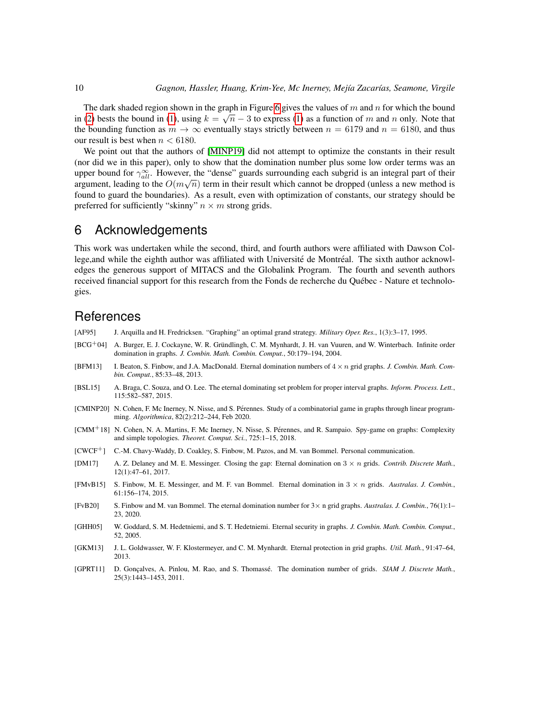The dark shaded region shown in the graph in Figure [6](#page-8-2) gives the values of m and n for which the bound in edark shaded region shown in the graph in Figure 0 gives the values of m and n for which the bound<br>in [\(2\)](#page-8-1) bests the bound in [\(1\)](#page-8-0), using  $k = \sqrt{n} - 3$  to express (1) as a function of m and n only. Note that the bounding function as  $m \to \infty$  eventually stays strictly between  $n = 6179$  and  $n = 6180$ , and thus our result is best when  $n < 6180$ .

We point out that the authors of [\[MINP19\]](#page-10-7) did not attempt to optimize the constants in their result (nor did we in this paper), only to show that the domination number plus some low order terms was an upper bound for  $\gamma_{all}^{\infty}$ . However, the "dense" guards surrounding each subgrid is an integral part of their argument, leading to the  $O(m\sqrt{n})$  term in their result which cannot be dropped (unless a new method is found to guard the boundaries). As a result, even with optimization of constants, our strategy should be preferred for sufficiently "skinny"  $n \times m$  strong grids.

### 6 Acknowledgements

This work was undertaken while the second, third, and fourth authors were affiliated with Dawson College, and while the eighth author was affiliated with Université de Montréal. The sixth author acknowledges the generous support of MITACS and the Globalink Program. The fourth and seventh authors received financial support for this research from the Fonds de recherche du Québec - Nature et technologies.

### **References**

- <span id="page-9-0"></span>[AF95] J. Arquilla and H. Fredricksen. "Graphing" an optimal grand strategy. *Military Oper. Res.*, 1(3):3–17, 1995.
- <span id="page-9-1"></span>[BCG+04] A. Burger, E. J. Cockayne, W. R. Gründlingh, C. M. Mynhardt, J. H. van Vuuren, and W. Winterbach. Infinite order domination in graphs. *J. Combin. Math. Combin. Comput.*, 50:179–194, 2004.
- <span id="page-9-8"></span>[BFM13] I. Beaton, S. Finbow, and J.A. MacDonald. Eternal domination numbers of 4 × n grid graphs. *J. Combin. Math. Combin. Comput.*, 85:33–48, 2013.
- <span id="page-9-5"></span>[BSL15] A. Braga, C. Souza, and O. Lee. The eternal dominating set problem for proper interval graphs. *Inform. Process. Lett.*, 115:582–587, 2015.
- <span id="page-9-4"></span>[CMINP20] N. Cohen, F. Mc Inerney, N. Nisse, and S. Perennes. Study of a combinatorial game in graphs through linear program- ´ ming. *Algorithmica*, 82(2):212–244, Feb 2020.
- <span id="page-9-3"></span>[CMM+18] N. Cohen, N. A. Martins, F. Mc Inerney, N. Nisse, S. Perennes, and R. Sampaio. Spy-game on graphs: Complexity ´ and simple topologies. *Theoret. Comput. Sci.*, 725:1–15, 2018.
- <span id="page-9-12"></span>[CWCF+] C.-M. Chavy-Waddy, D. Coakley, S. Finbow, M. Pazos, and M. van Bommel. Personal communication.
- <span id="page-9-9"></span>[DM17] A. Z. Delaney and M. E. Messinger. Closing the gap: Eternal domination on 3 × n grids. *Contrib. Discrete Math.*, 12(1):47–61, 2017.
- <span id="page-9-6"></span>[FMvB15] S. Finbow, M. E. Messinger, and M. F. van Bommel. Eternal domination in 3 × n grids. *Australas. J. Combin.*, 61:156–174, 2015.
- <span id="page-9-10"></span>[FvB20] S. Finbow and M. van Bommel. The eternal domination number for 3× n grid graphs. *Australas. J. Combin.*, 76(1):1– 23, 2020.
- <span id="page-9-2"></span>[GHH05] W. Goddard, S. M. Hedetniemi, and S. T. Hedetniemi. Eternal security in graphs. *J. Combin. Math. Combin. Comput.*, 52, 2005.
- <span id="page-9-7"></span>[GKM13] J. L. Goldwasser, W. F. Klostermeyer, and C. M. Mynhardt. Eternal protection in grid graphs. *Util. Math.*, 91:47–64, 2013.
- <span id="page-9-11"></span>[GPRT11] D. Gonçalves, A. Pinlou, M. Rao, and S. Thomassé. The domination number of grids. *SIAM J. Discrete Math.*, 25(3):1443–1453, 2011.